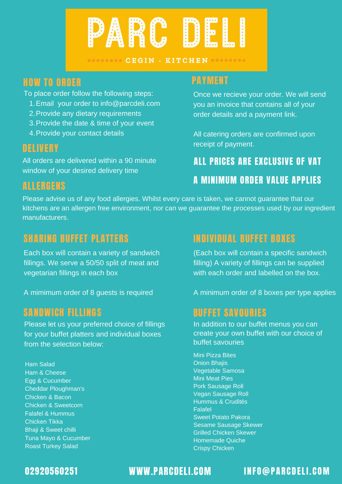

#### **DOODOOOOO CEGIN - KITCHEN OOOOOOOO**

# HOW TO ORDER PAYMENT

To place order follow the following steps:

- Email your order to info@parcdeli.com 1.
- 2. Provide any dietary requirements
- 3. Provide the date & time of your event
- 4. Provide your contact details

#### DELIVERY

All orders are delivered within a 90 minute window of your desired delivery time

#### ALLERGENS

# ALL PRICES ARE EXCLUSIVE OF VAT

receipt of payment.

### A MINIMUM ORDER VALUE APPLIES

Once we recieve your order. We will send you an invoice that contains all of your

order details and a payment link.

All catering orders are confirmed upon

Please advise us of any food allergies. Whilst every care is taken, we cannot guarantee that our kitchens are an allergen free environment, nor can we guarantee the processes used by our ingredient manufacturers.

### SHARING BUFFET PLATTERS INDIVIDUAL BUFFET BOXES

Each box will contain a variety of sandwich fillings. We serve a 50/50 split of meat and vegetarian fillings in each box

A mimimum order of 8 guests is required

#### SANDWICH FILLINGS

Please let us your preferred choice of fillings for your buffet platters and individual boxes from the selection below:

Ham Salad Ham & Cheese Egg & Cucumber Cheddar Ploughman's Chicken & Bacon Chicken & Sweetcorn Falafel & Hummus Chicken Tikka Bhaji & Sweet chilli Tuna Mayo & Cucumber Roast Turkey Salad

(Each box will contain a specific sandwich filling) A variety of fillings can be supplied with each order and labelled on the box.

A minimum order of 8 boxes per type applies

#### BUFFET SAVOURIES

In addition to our buffet menus you can create your own buffet with our choice of buffet savouries

Mini Pizza Bites **Onion Bhails** Vegetable Samosa Mini Meat Pies Pork Sausage Roll Vegan Sausage Roll Hummus & Crudités Falafel Sweet Potato Pakora Sesame Sausage Skewer Grilled Chicken Skewer Homemade Quiche Crispy Chicken

02920560251 WWW.PARCDELI.COM INFO@PARCDELI.COM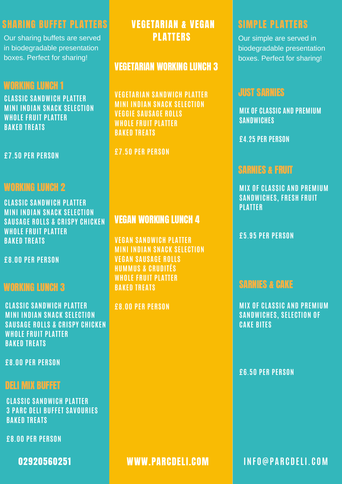# SHARING BUFFET PLATTERS VEGETARIAN & VEGAN SIMPLE PLATTERS

Our sharing buffets are served in biodegradable presentation boxes. Perfect for sharing!

# WORKING LUNCH 1

**CLASSIC SANDWICH PLATTER MINI INDIAN SNACK SELECTION WHOLE FRUIT PLATTER BAKED TREATS**

**£7.50 PER PERSON**

# WORKING LUNCH 2

**CLASSIC SANDWICH PLATTER MINI INDIAN SNACK SELECTION SAUSAGE ROLLS & CRISPY CHICKEN WHOLE FRUIT PLATTER BAKED TREATS**

**£8.00 PER PERSON**

## WORKING LUNCH 3

**CLASSIC SANDWICH PLATTER MINI INDIAN SNACK SELECTION SAUSAGE ROLLS & CRISPY CHICKEN WHOLE FRUIT PLATTER BAKED TREATS**

**£8.00 PER PERSON**

### DELI MIX BUFFET

**CLASSIC SANDWICH PLATTER 3 PARC DELI BUFFET SAVOURIES BAKED TREATS**

**£8.00 PER PERSON**

PLATTERS

#### VEGETARIAN WORKING LUNCH 3

**VEGETARIAN SANDWICH PLATTER MINI INDIAN SNACK SELECTION VEGGIE SAUSAGE ROLLS WHOLE FRUIT PLATTER BAKED TREATS**

**£7.50 PER PERSON**

### VEGAN WORKING LUNCH 4

**VEGAN SANDWICH PLATTER MINI INDIAN SNACK SELECTION VEGAN SAUSAGE ROLLS HUMMUS & CRUDITÉS WHOLE FRUIT PLATTER BAKED TREATS**

**£8.00 PER PERSON**

Our simple are served in biodegradable presentation boxes. Perfect for sharing!

#### JUST SARNIES

**MIX OF CLASSIC AND PREMIUM SANDWICHES**

**£4.25 PER PERSON**

### SARNIES & FRUIT

**MIX OF CLASSIC AND PREMIUM SANDWICHES, FRESH FRUIT PLATTER**

**£5.95 PER PERSON**

### SARNIES & CAKE

**MIX OF CLASSIC AND PREMIUM SANDWICHES, SELECTION OF CAKE BITES**

**£6.50 PER PERSON**

02920560251 WWW.PARCDELI.COM **INF O@P A R C D ELI. C OM**